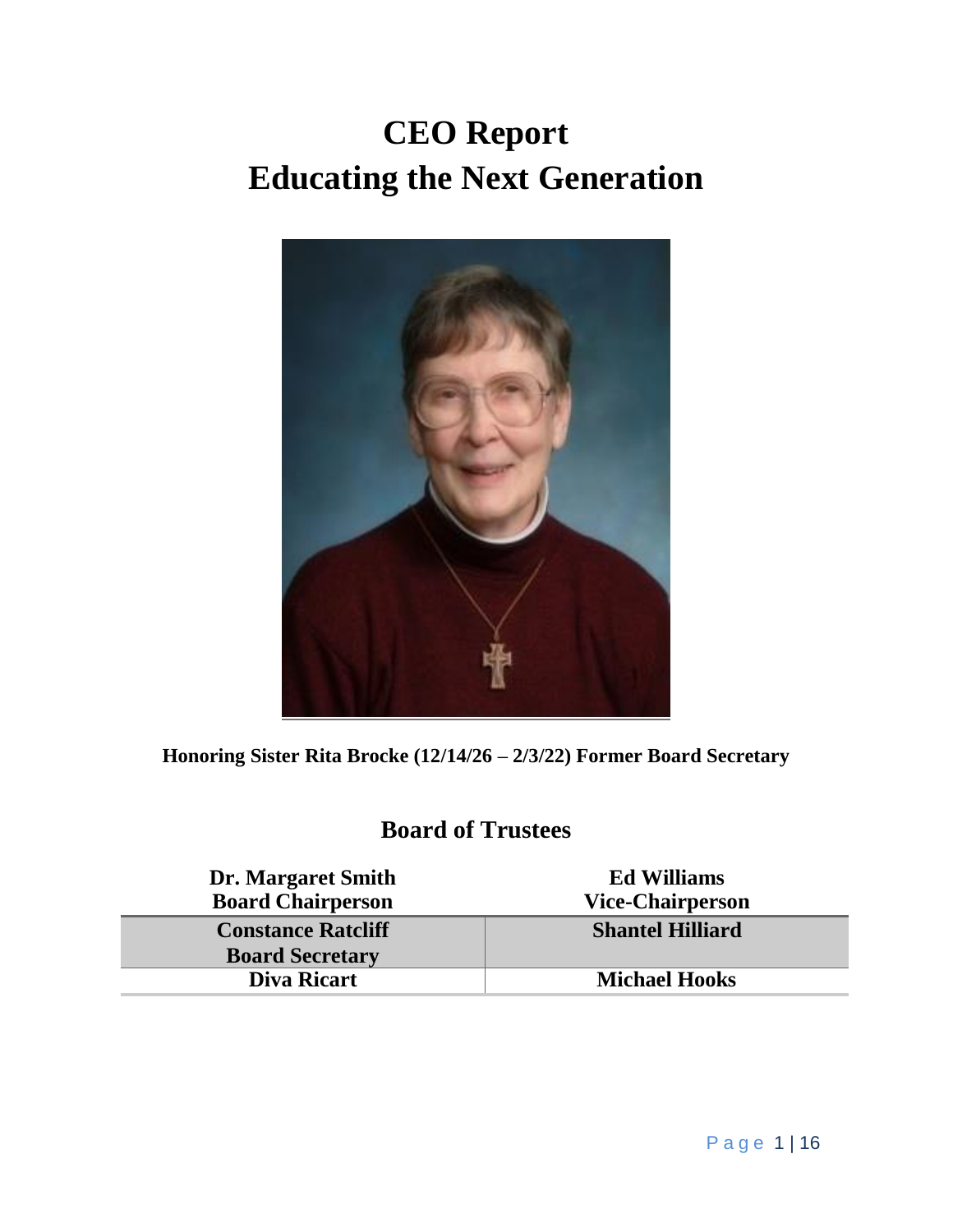# **CEO Report Educating the Next Generation**



**Honoring Sister Rita Brocke (12/14/26 – 2/3/22) Former Board Secretary**

### **Board of Trustees**

| <b>Dr. Margaret Smith</b><br><b>Board Chairperson</b> | <b>Ed Williams</b><br><b>Vice-Chairperson</b> |
|-------------------------------------------------------|-----------------------------------------------|
| <b>Constance Ratcliff</b>                             | <b>Shantel Hilliard</b>                       |
| <b>Board Secretary</b>                                |                                               |
| <b>Diva Ricart</b>                                    | <b>Michael Hooks</b>                          |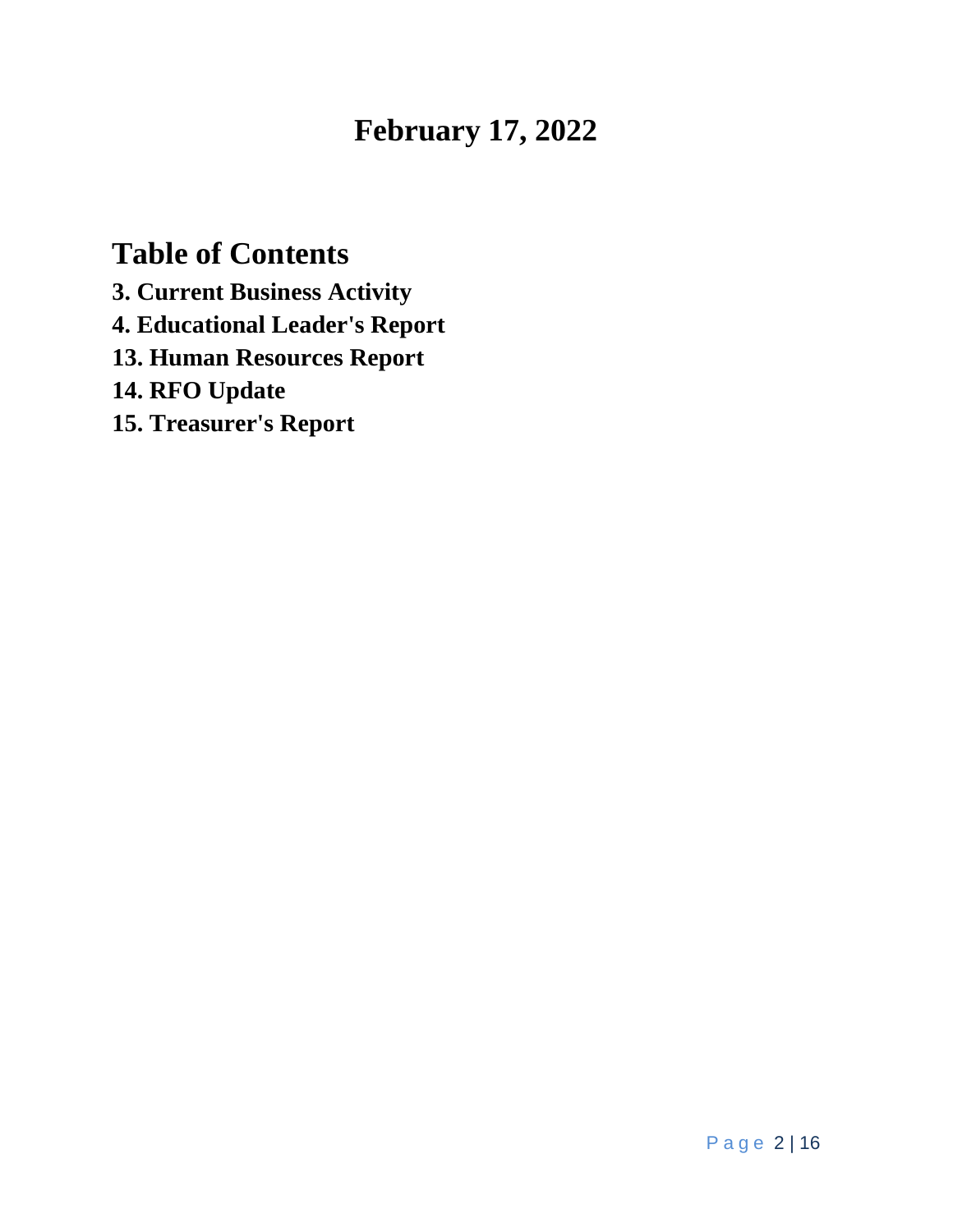# **February 17, 2022**

# **Table of Contents**

**3. Current Business Activity 4. Educational Leader's Report**

**13. Human Resources Report**

**14. RFO Update**

**15. Treasurer's Report**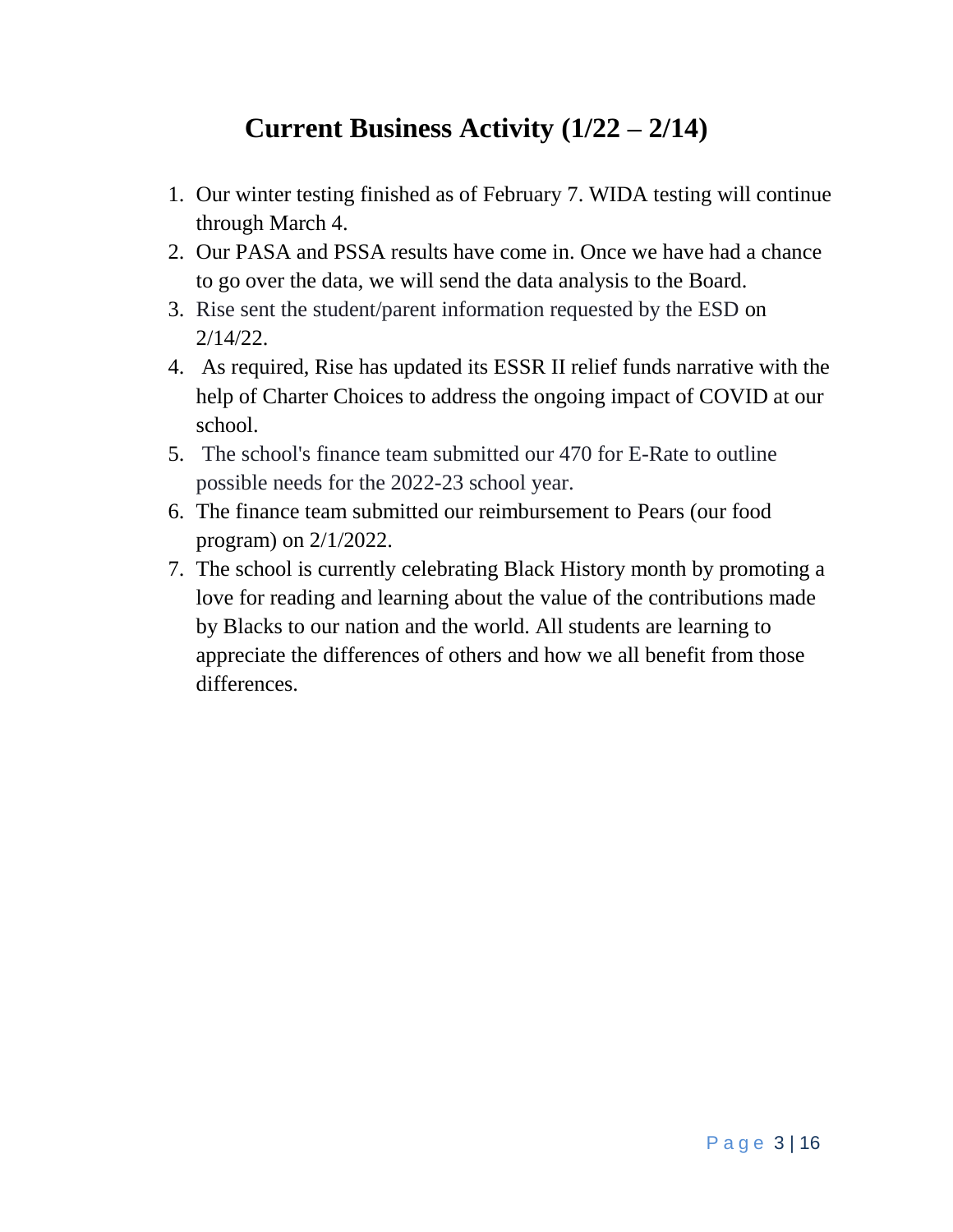## **Current Business Activity (1/22 – 2/14)**

- 1. Our winter testing finished as of February 7. WIDA testing will continue through March 4.
- 2. Our PASA and PSSA results have come in. Once we have had a chance to go over the data, we will send the data analysis to the Board.
- 3. Rise sent the student/parent information requested by the ESD on 2/14/22.
- 4. As required, Rise has updated its ESSR II relief funds narrative with the help of Charter Choices to address the ongoing impact of COVID at our school.
- 5. The school's finance team submitted our 470 for E-Rate to outline possible needs for the 2022-23 school year.
- 6. The finance team submitted our reimbursement to Pears (our food program) on 2/1/2022.
- 7. The school is currently celebrating Black History month by promoting a love for reading and learning about the value of the contributions made by Blacks to our nation and the world. All students are learning to appreciate the differences of others and how we all benefit from those differences.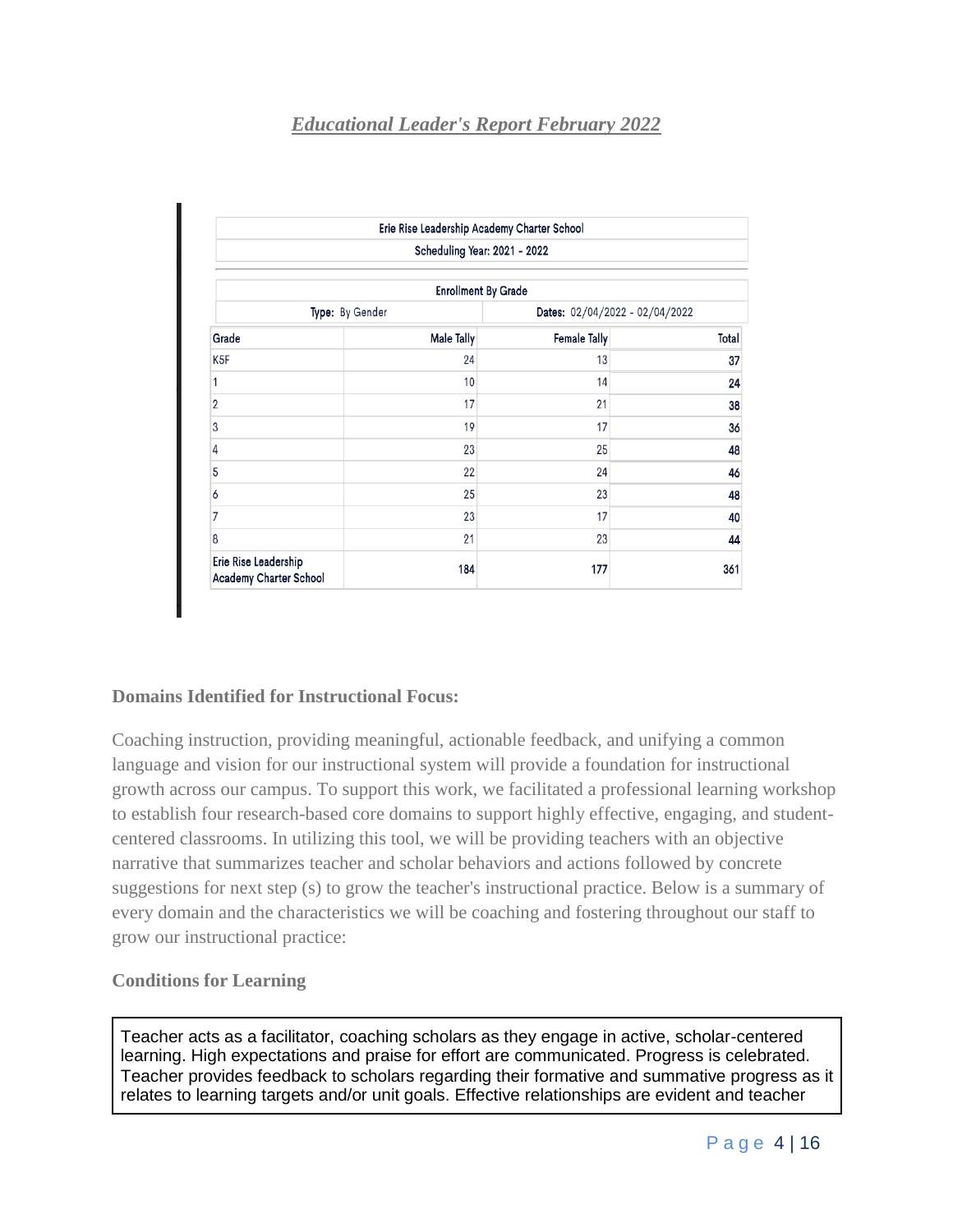#### *Educational Leader's Report February 2022*

|                                                | Erie Rise Leadership Academy Charter School |                                |       |  |
|------------------------------------------------|---------------------------------------------|--------------------------------|-------|--|
|                                                | Scheduling Year: 2021 - 2022                |                                |       |  |
|                                                | <b>Enrollment By Grade</b>                  |                                |       |  |
| Type: By Gender                                |                                             | Dates: 02/04/2022 - 02/04/2022 |       |  |
| Grade                                          | Male Tally                                  | Female Tally                   | Total |  |
| K5F                                            | 24                                          | 13                             | 37    |  |
| 1                                              | 10                                          | 14                             | 24    |  |
| 2                                              | 17                                          | 21                             | 38    |  |
| 3                                              | 19                                          | 17                             | 36    |  |
| 4                                              | 23                                          | 25                             | 48    |  |
| 5                                              | 22                                          | 24                             | 46    |  |
| 6                                              | 25                                          | 23                             | 48    |  |
| 7                                              | 23                                          | 17                             | 40    |  |
| 8                                              | 21                                          | 23                             | 44    |  |
| Erie Rise Leadership<br>Academy Charter School | 184                                         | 177                            | 361   |  |

#### **Domains Identified for Instructional Focus:**

Coaching instruction, providing meaningful, actionable feedback, and unifying a common language and vision for our instructional system will provide a foundation for instructional growth across our campus. To support this work, we facilitated a professional learning workshop to establish four research-based core domains to support highly effective, engaging, and studentcentered classrooms. In utilizing this tool, we will be providing teachers with an objective narrative that summarizes teacher and scholar behaviors and actions followed by concrete suggestions for next step (s) to grow the teacher's instructional practice. Below is a summary of every domain and the characteristics we will be coaching and fostering throughout our staff to grow our instructional practice:

#### **Conditions for Learning**

Teacher acts as a facilitator, coaching scholars as they engage in active, scholar-centered learning. High expectations and praise for effort are communicated. Progress is celebrated. Teacher provides feedback to scholars regarding their formative and summative progress as it relates to learning targets and/or unit goals. Effective relationships are evident and teacher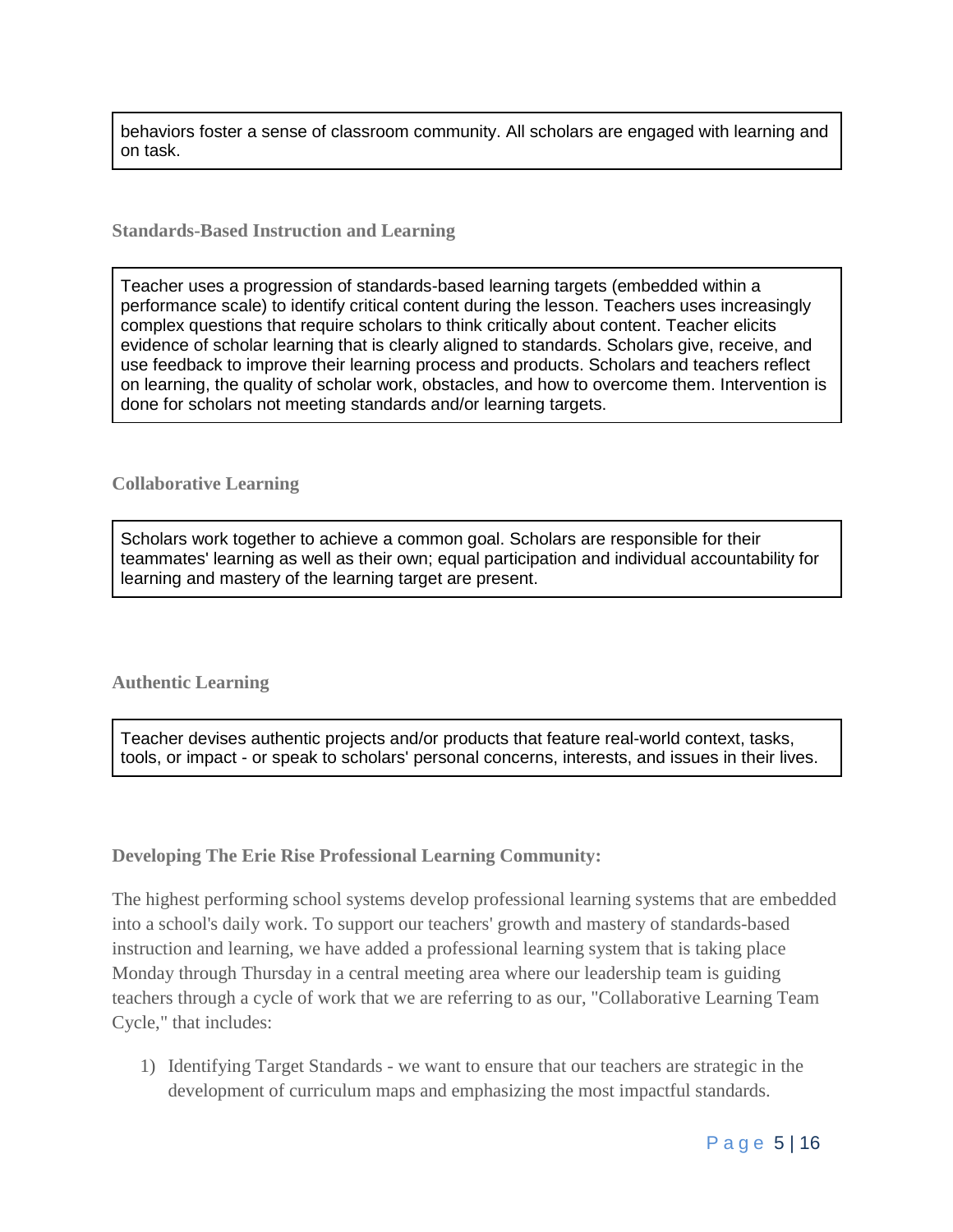behaviors foster a sense of classroom community. All scholars are engaged with learning and on task.

#### **Standards-Based Instruction and Learning**

Teacher uses a progression of standards-based learning targets (embedded within a performance scale) to identify critical content during the lesson. Teachers uses increasingly complex questions that require scholars to think critically about content. Teacher elicits evidence of scholar learning that is clearly aligned to standards. Scholars give, receive, and use feedback to improve their learning process and products. Scholars and teachers reflect on learning, the quality of scholar work, obstacles, and how to overcome them. Intervention is done for scholars not meeting standards and/or learning targets.

#### **Collaborative Learning**

Scholars work together to achieve a common goal. Scholars are responsible for their teammates' learning as well as their own; equal participation and individual accountability for learning and mastery of the learning target are present.

#### **Authentic Learning**

Teacher devises authentic projects and/or products that feature real-world context, tasks, tools, or impact - or speak to scholars' personal concerns, interests, and issues in their lives.

#### **Developing The Erie Rise Professional Learning Community:**

The highest performing school systems develop professional learning systems that are embedded into a school's daily work. To support our teachers' growth and mastery of standards-based instruction and learning, we have added a professional learning system that is taking place Monday through Thursday in a central meeting area where our leadership team is guiding teachers through a cycle of work that we are referring to as our, "Collaborative Learning Team Cycle," that includes:

1) Identifying Target Standards - we want to ensure that our teachers are strategic in the development of curriculum maps and emphasizing the most impactful standards.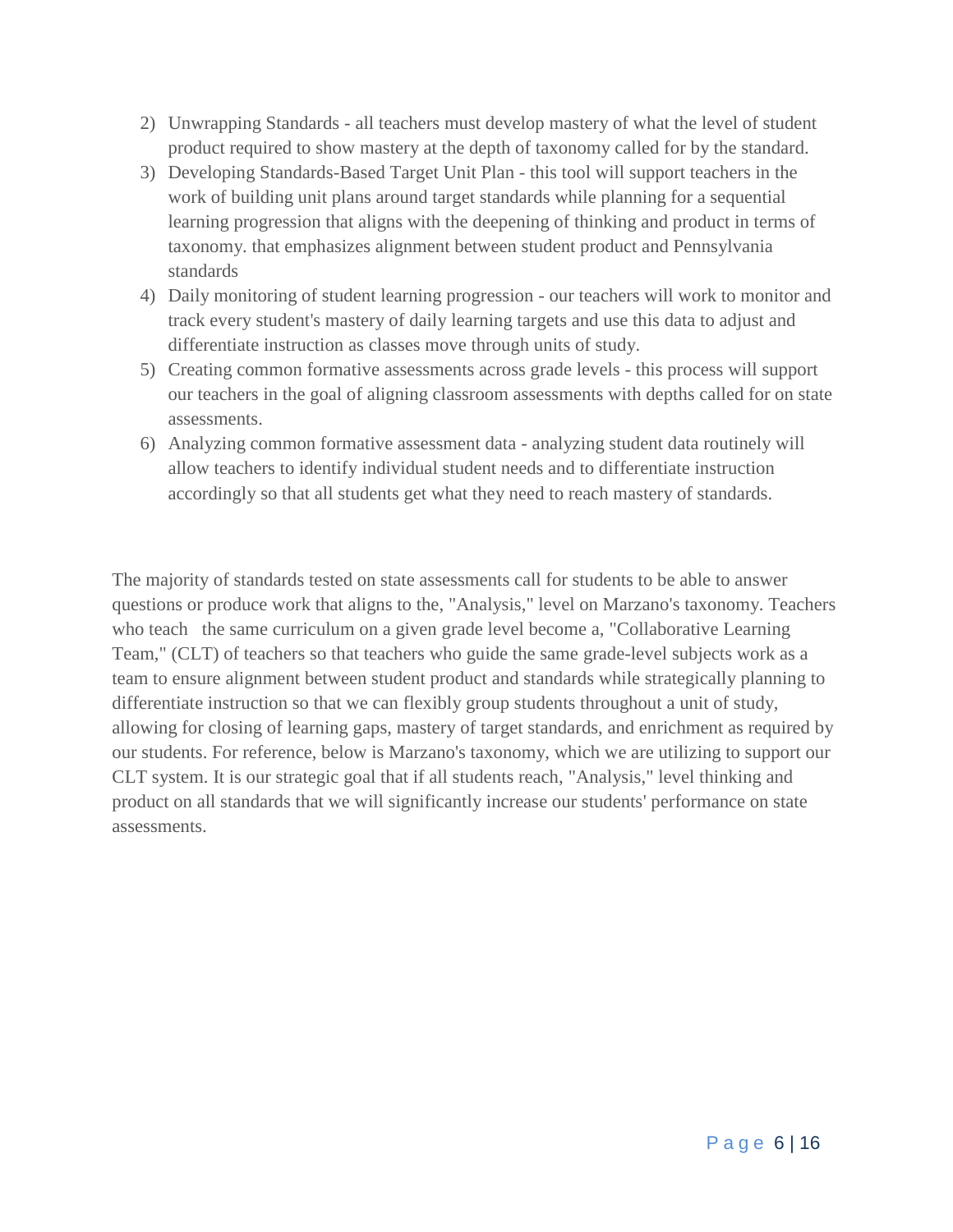- 2) Unwrapping Standards all teachers must develop mastery of what the level of student product required to show mastery at the depth of taxonomy called for by the standard.
- 3) Developing Standards-Based Target Unit Plan this tool will support teachers in the work of building unit plans around target standards while planning for a sequential learning progression that aligns with the deepening of thinking and product in terms of taxonomy. that emphasizes alignment between student product and Pennsylvania standards
- 4) Daily monitoring of student learning progression our teachers will work to monitor and track every student's mastery of daily learning targets and use this data to adjust and differentiate instruction as classes move through units of study.
- 5) Creating common formative assessments across grade levels this process will support our teachers in the goal of aligning classroom assessments with depths called for on state assessments.
- 6) Analyzing common formative assessment data analyzing student data routinely will allow teachers to identify individual student needs and to differentiate instruction accordingly so that all students get what they need to reach mastery of standards.

The majority of standards tested on state assessments call for students to be able to answer questions or produce work that aligns to the, "Analysis," level on Marzano's taxonomy. Teachers who teach the same curriculum on a given grade level become a, "Collaborative Learning" Team," (CLT) of teachers so that teachers who guide the same grade-level subjects work as a team to ensure alignment between student product and standards while strategically planning to differentiate instruction so that we can flexibly group students throughout a unit of study, allowing for closing of learning gaps, mastery of target standards, and enrichment as required by our students. For reference, below is Marzano's taxonomy, which we are utilizing to support our CLT system. It is our strategic goal that if all students reach, "Analysis," level thinking and product on all standards that we will significantly increase our students' performance on state assessments.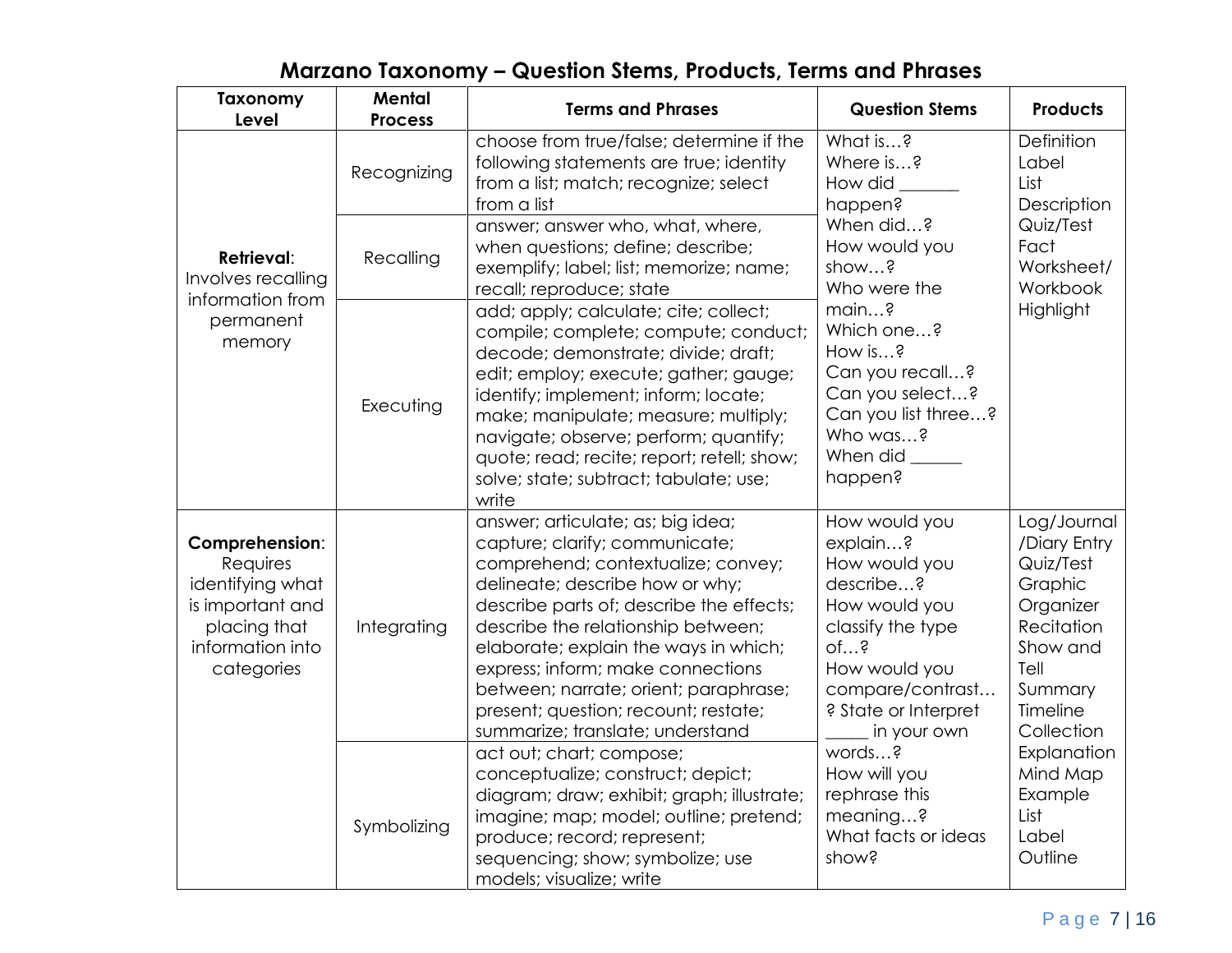| <b>Taxonomy</b><br>Level                                                                                             | Mental<br><b>Process</b> | <b>Terms and Phrases</b>                                                                                                                                                                                                                                                                                                                                                                                                          | <b>Question Stems</b>                                                                                                                                                            | <b>Products</b>                                                                                                                         |
|----------------------------------------------------------------------------------------------------------------------|--------------------------|-----------------------------------------------------------------------------------------------------------------------------------------------------------------------------------------------------------------------------------------------------------------------------------------------------------------------------------------------------------------------------------------------------------------------------------|----------------------------------------------------------------------------------------------------------------------------------------------------------------------------------|-----------------------------------------------------------------------------------------------------------------------------------------|
|                                                                                                                      | Recognizing              | choose from true/false; determine if the<br>following statements are true; identity<br>from a list; match; recognize; select<br>from a list                                                                                                                                                                                                                                                                                       | What is?<br>Where is?<br>How did<br>happen?                                                                                                                                      | Definition<br>Label<br>List<br>Description                                                                                              |
| <b>Retrieval:</b><br>Involves recalling<br>information from<br>permanent<br>memory                                   | Recalling                | answer; answer who, what, where,<br>when questions; define; describe;<br>exemplify; label; list; memorize; name;<br>recall; reproduce; state                                                                                                                                                                                                                                                                                      | When did?<br>How would you<br>show?<br>Who were the                                                                                                                              | Quiz/Test<br>Fact<br>Worksheet/<br>Workbook                                                                                             |
|                                                                                                                      | Executing                | add; apply; calculate; cite; collect;<br>compile; complete; compute; conduct;<br>decode; demonstrate; divide; draft;<br>edit; employ; execute; gather; gauge;<br>identify; implement; inform; locate;<br>make; manipulate; measure; multiply;<br>navigate; observe; perform; quantify;<br>quote; read; recite; report; retell; show;<br>solve; state; subtract; tabulate; use;<br>write                                           | main?<br>Which one?<br>How is?<br>Can you recall?<br>Can you select?<br>Can you list three?<br>Who was?<br>When did ______<br>happen?                                            | Highlight                                                                                                                               |
| Comprehension:<br>Requires<br>identifying what<br>is important and<br>placing that<br>information into<br>categories | Integrating              | answer; articulate; as; big idea;<br>capture; clarify; communicate;<br>comprehend; contextualize; convey;<br>delineate; describe how or why;<br>describe parts of; describe the effects;<br>describe the relationship between;<br>elaborate; explain the ways in which;<br>express; inform; make connections<br>between; narrate; orient; paraphrase;<br>present; question; recount; restate;<br>summarize; translate; understand | How would you<br>explain?<br>How would you<br>describe?<br>How would you<br>classify the type<br>of?<br>How would you<br>compare/contrast<br>? State or Interpret<br>in your own | Log/Journal<br>/Diary Entry<br>Quiz/Test<br>Graphic<br>Organizer<br>Recitation<br>Show and<br>Tell<br>Summary<br>Timeline<br>Collection |
|                                                                                                                      | Symbolizing              | act out; chart; compose;<br>conceptualize; construct; depict;<br>diagram; draw; exhibit; graph; illustrate;<br>imagine; map; model; outline; pretend;<br>produce; record; represent;<br>sequencing; show; symbolize; use<br>models; visualize; write                                                                                                                                                                              | words?<br>How will you<br>rephrase this<br>meaning?<br>What facts or ideas<br>show?                                                                                              | Explanation<br>Mind Map<br>Example<br>List<br>Label<br>Outline                                                                          |

### **Marzano Taxonomy – Question Stems, Products, Terms and Phrases**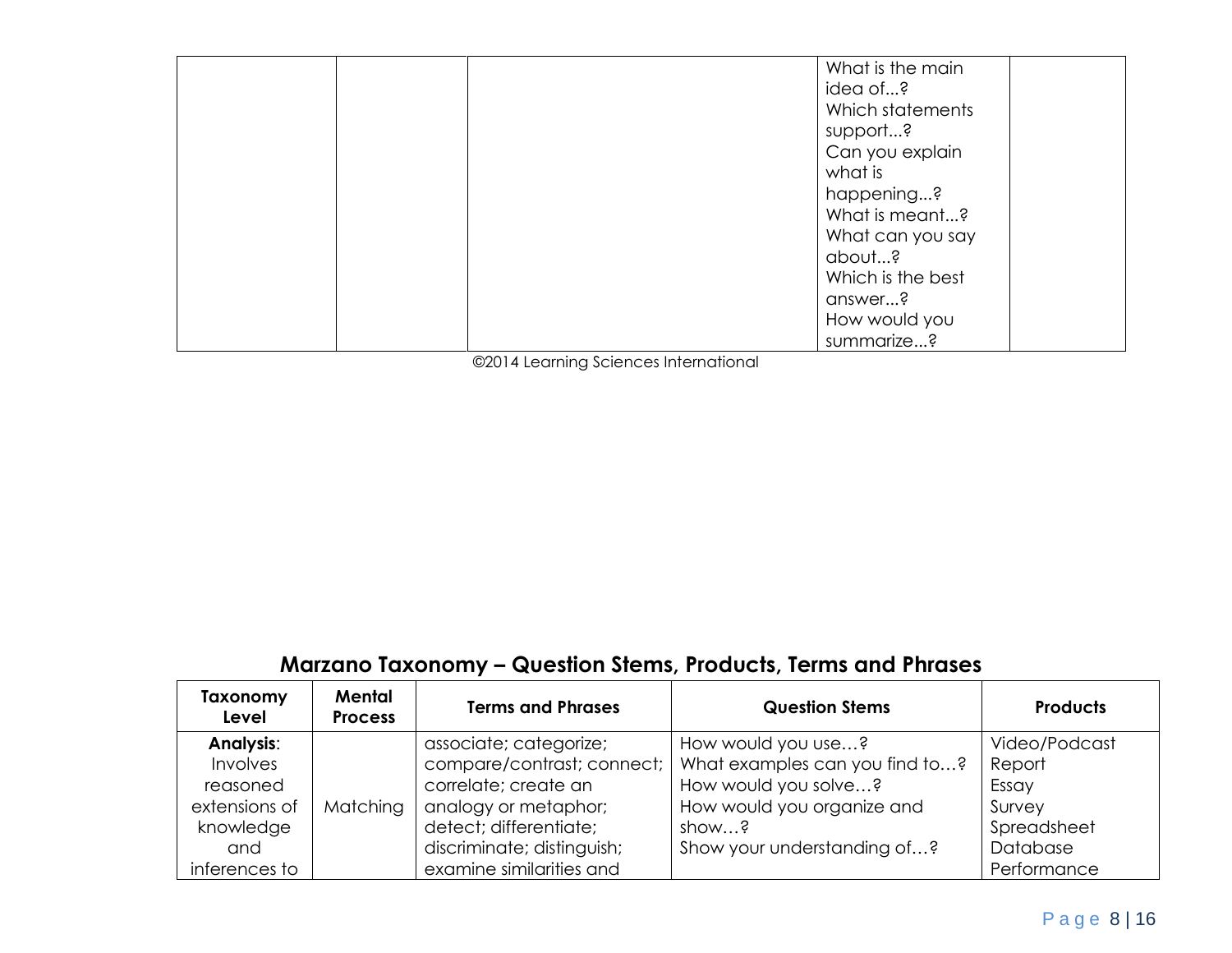| What is the main  |
|-------------------|
| idea of?          |
| Which statements  |
| support?          |
|                   |
| Can you explain   |
| what is           |
| happening?        |
| What is meant?    |
| What can you say  |
| about?            |
| Which is the best |
| answer?           |
| How would you     |
| summarize?        |

©2014 Learning Sciences International

### **Marzano Taxonomy – Question Stems, Products, Terms and Phrases**

| Taxonomy<br>Level | Mental<br><b>Process</b> | <b>Terms and Phrases</b>   | <b>Question Stems</b>          | <b>Products</b> |
|-------------------|--------------------------|----------------------------|--------------------------------|-----------------|
| <b>Analysis:</b>  |                          | associate; categorize;     | How would you use?             | Video/Podcast   |
| Involves          |                          | compare/contrast; connect; | What examples can you find to? | Report          |
| reasoned          |                          | correlate; create an       | How would you solve?           | Essay           |
| extensions of     | Matching                 | analogy or metaphor;       | How would you organize and     | Survey          |
| knowledge         |                          | detect; differentiate;     | show?                          | Spreadsheet     |
| and               |                          | discriminate; distinguish; | Show your understanding of?    | Database        |
| inferences to     |                          | examine similarities and   |                                | Performance     |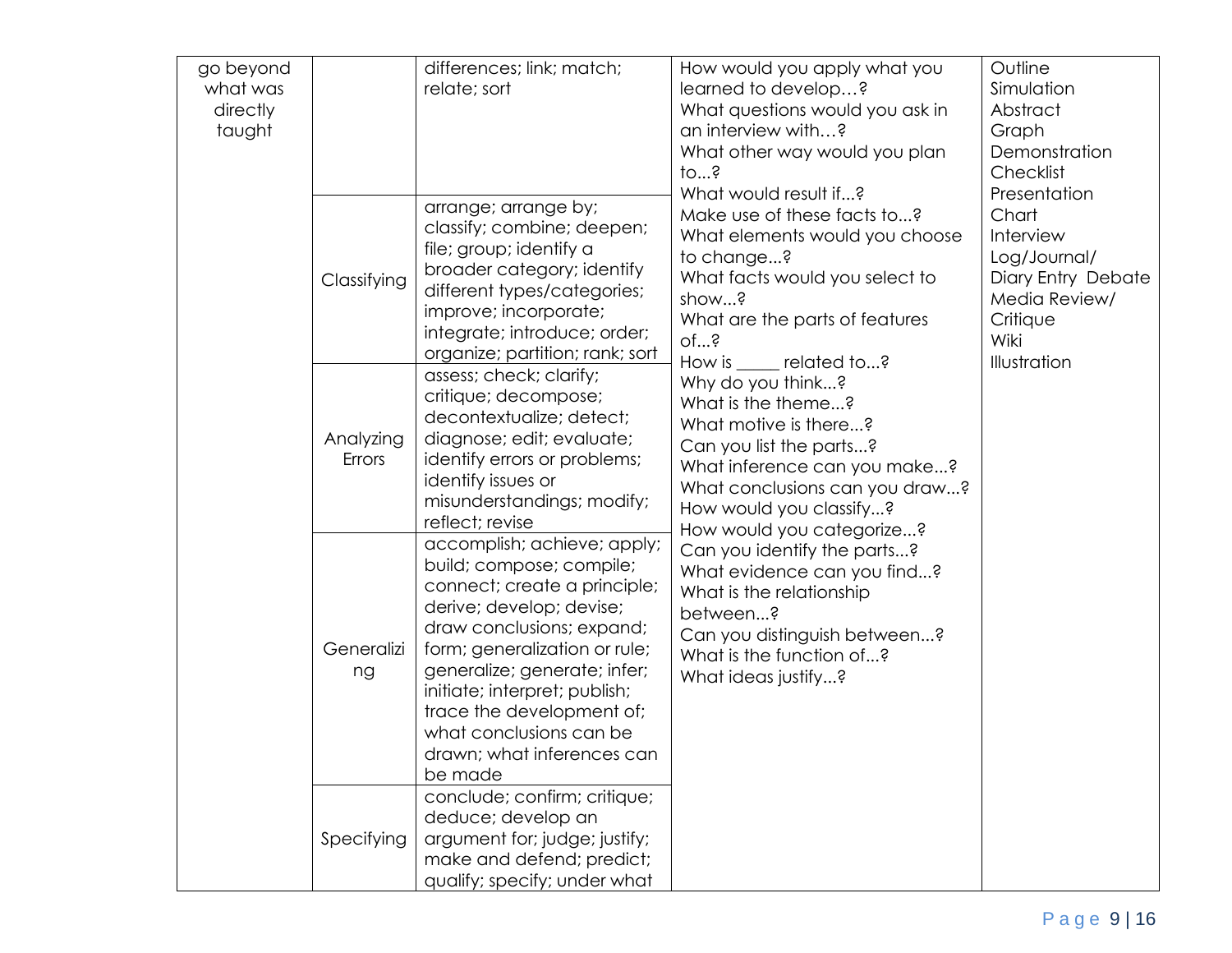| go beyond<br>what was<br>directly<br>taught |                     | differences; link; match;<br>relate; sort                                                                                                                                                                                                                                                                                                           | How would you apply what you<br>learned to develop?<br>What questions would you ask in<br>an interview with?<br>What other way would you plan<br>$10$ s<br>What would result if?                                                                                                                                                                                                         | Outline<br>Simulation<br>Abstract<br>Graph<br>Demonstration<br>Checklist<br>Presentation                      |
|---------------------------------------------|---------------------|-----------------------------------------------------------------------------------------------------------------------------------------------------------------------------------------------------------------------------------------------------------------------------------------------------------------------------------------------------|------------------------------------------------------------------------------------------------------------------------------------------------------------------------------------------------------------------------------------------------------------------------------------------------------------------------------------------------------------------------------------------|---------------------------------------------------------------------------------------------------------------|
|                                             | Classifying         | arrange; arrange by;<br>classify; combine; deepen;<br>file; group; identify a<br>broader category; identify<br>different types/categories;<br>improve; incorporate;<br>integrate; introduce; order;<br>organize; partition; rank; sort                                                                                                              | Make use of these facts to?<br>What elements would you choose<br>to change?<br>What facts would you select to<br>show?<br>What are the parts of features<br>of?<br>How is<br>___ related to?<br>Why do you think?<br>What is the theme?<br>What motive is there?<br>Can you list the parts?<br>What inference can you make?<br>What conclusions can you draw?<br>How would you classify? | Chart<br>Interview<br>Log/Journal/<br>Diary Entry Debate<br>Media Review/<br>Critique<br>Wiki<br>Illustration |
|                                             | Analyzing<br>Errors | assess; check; clarify;<br>critique; decompose;<br>decontextualize; detect;<br>diagnose; edit; evaluate;<br>identify errors or problems;<br>identify issues or<br>misunderstandings; modify;<br>reflect; revise                                                                                                                                     |                                                                                                                                                                                                                                                                                                                                                                                          |                                                                                                               |
|                                             | Generalizi<br>ng    | accomplish; achieve; apply;<br>build; compose; compile;<br>connect; create a principle;<br>derive; develop; devise;<br>draw conclusions; expand;<br>form; generalization or rule;<br>generalize; generate; infer;<br>initiate; interpret; publish;<br>trace the development of;<br>what conclusions can be<br>drawn; what inferences can<br>be made | How would you categorize?<br>Can you identify the parts?<br>What evidence can you find?<br>What is the relationship<br>between?<br>Can you distinguish between?<br>What is the function of?<br>What ideas justify?                                                                                                                                                                       |                                                                                                               |
|                                             | Specifying          | conclude; confirm; critique;<br>deduce; develop an<br>argument for; judge; justify;<br>make and defend; predict;<br>qualify; specify; under what                                                                                                                                                                                                    |                                                                                                                                                                                                                                                                                                                                                                                          |                                                                                                               |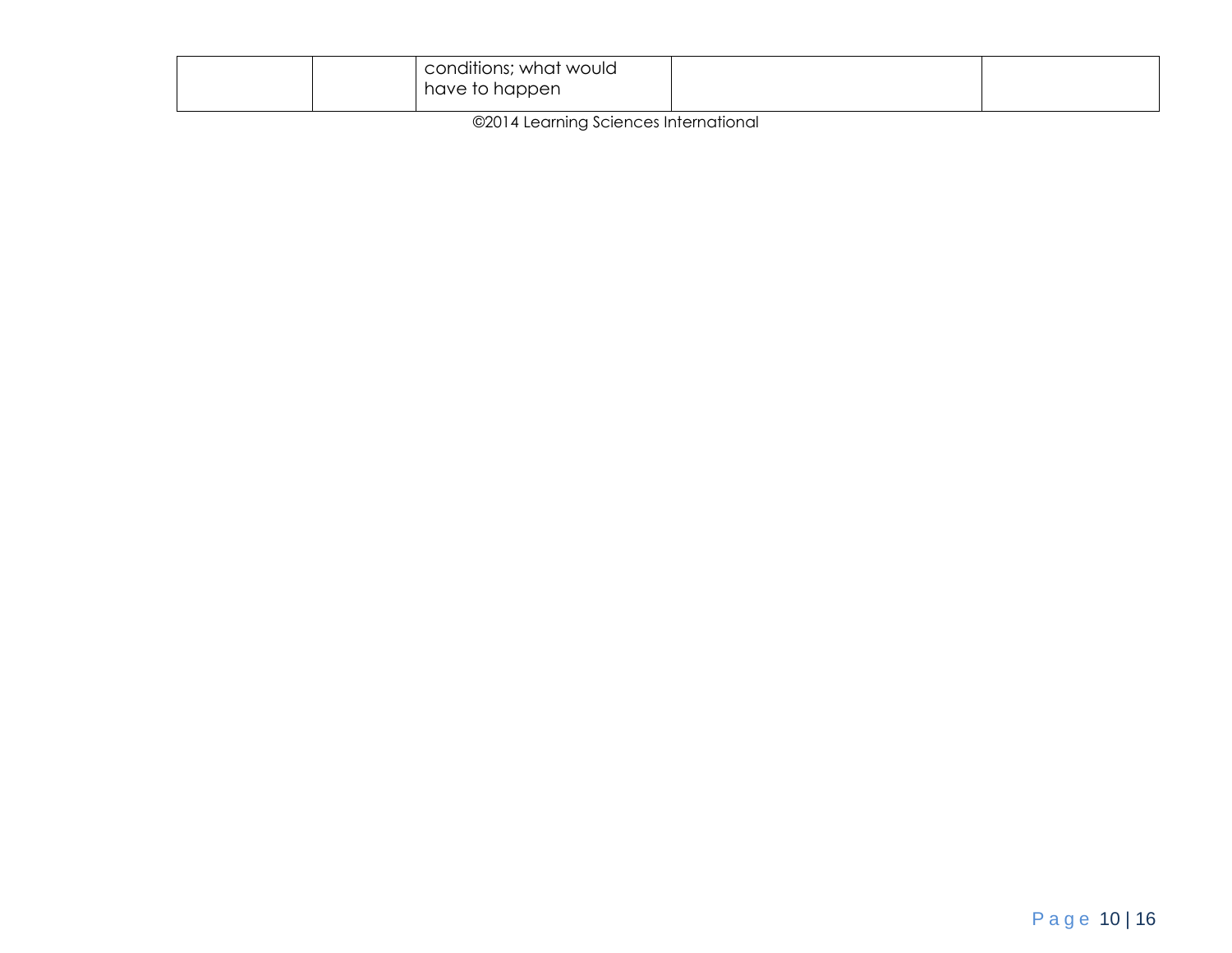| conditions; what would<br>have to happen |  |
|------------------------------------------|--|
|                                          |  |

©2014 Learning Sciences International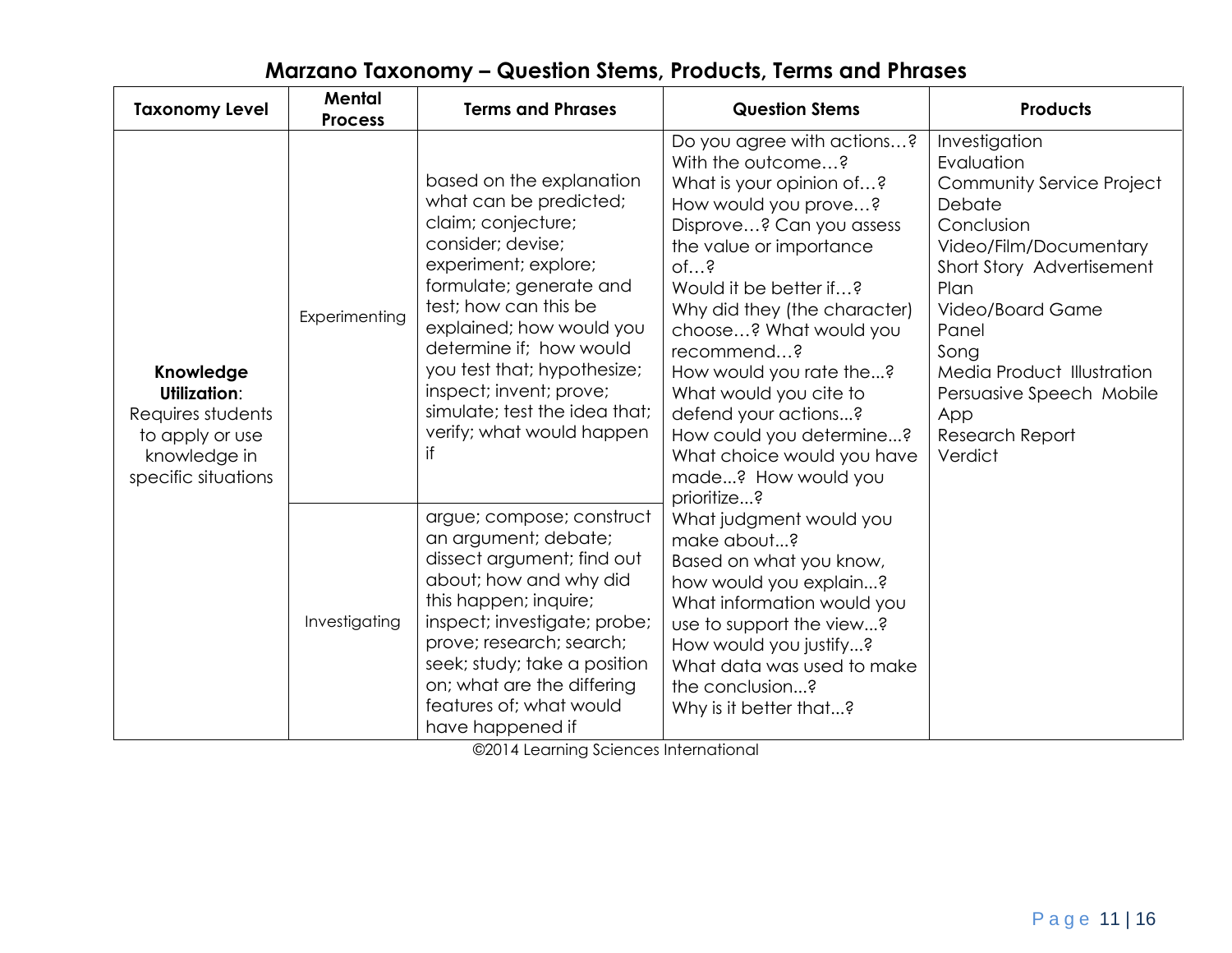| <b>Taxonomy Level</b>                                                                                    | <b>Mental</b><br><b>Terms and Phrases</b><br><b>Process</b> |                                                                                                                                                                                                                                                                                                                                                                | <b>Question Stems</b>                                                                                                                                                                                                                                                                                                                                                                                                                               | <b>Products</b>                                                                                                                                                                                                                                                                            |  |
|----------------------------------------------------------------------------------------------------------|-------------------------------------------------------------|----------------------------------------------------------------------------------------------------------------------------------------------------------------------------------------------------------------------------------------------------------------------------------------------------------------------------------------------------------------|-----------------------------------------------------------------------------------------------------------------------------------------------------------------------------------------------------------------------------------------------------------------------------------------------------------------------------------------------------------------------------------------------------------------------------------------------------|--------------------------------------------------------------------------------------------------------------------------------------------------------------------------------------------------------------------------------------------------------------------------------------------|--|
| Knowledge<br>Utilization:<br>Requires students<br>to apply or use<br>knowledge in<br>specific situations | Experimenting                                               | based on the explanation<br>what can be predicted;<br>claim; conjecture;<br>consider; devise;<br>experiment; explore;<br>formulate; generate and<br>test; how can this be<br>explained; how would you<br>determine if; how would<br>you test that; hypothesize;<br>inspect; invent; prove;<br>simulate; test the idea that;<br>verify; what would happen<br>if | Do you agree with actions?<br>With the outcome?<br>What is your opinion of?<br>How would you prove?<br>Disprove? Can you assess<br>the value or importance<br>$of$ ?<br>Would it be better if?<br>Why did they (the character)<br>choose? What would you<br>recommend?<br>How would you rate the?<br>What would you cite to<br>defend your actions?<br>How could you determine?<br>What choice would you have<br>made? How would you<br>prioritize? | Investigation<br>Evaluation<br>Community Service Project<br>Debate<br>Conclusion<br>Video/Film/Documentary<br>Short Story Advertisement<br>Plan<br>Video/Board Game<br>Panel<br>Song<br>Media Product Illustration<br>Persuasive Speech Mobile<br>App<br><b>Research Report</b><br>Verdict |  |
|                                                                                                          | Investigating                                               | argue; compose; construct<br>an argument; debate;<br>dissect argument; find out<br>about; how and why did<br>this happen; inquire;<br>inspect; investigate; probe;<br>prove; research; search;<br>seek; study; take a position<br>on; what are the differing<br>features of; what would<br>have happened if                                                    | What judgment would you<br>make about?<br>Based on what you know,<br>how would you explain?<br>What information would you<br>use to support the view?<br>How would you justify?<br>What data was used to make<br>the conclusion?<br>Why is it better that?                                                                                                                                                                                          |                                                                                                                                                                                                                                                                                            |  |

### **Marzano Taxonomy – Question Stems, Products, Terms and Phrases**

©2014 Learning Sciences International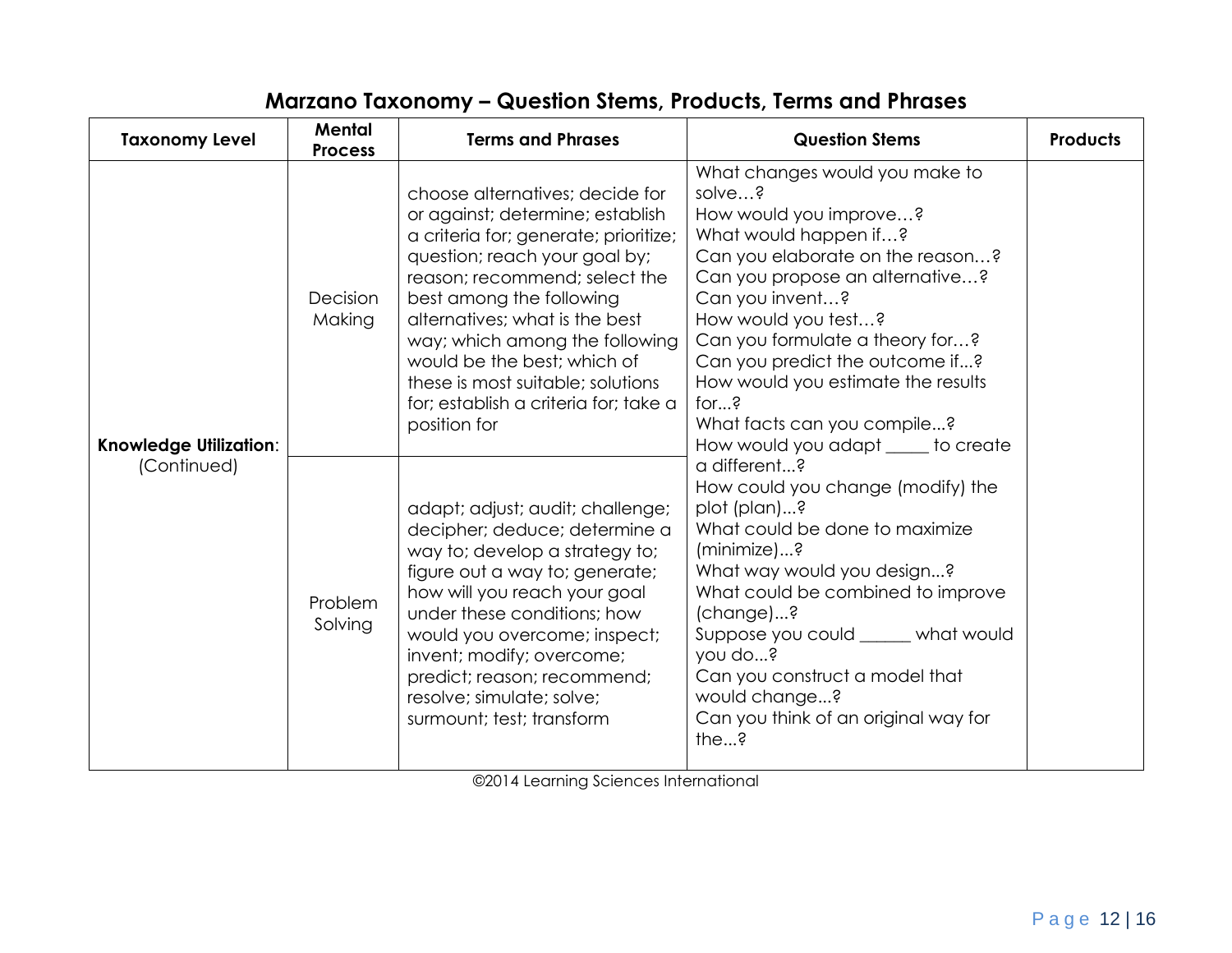| <b>Taxonomy Level</b>                        | <b>Mental</b><br><b>Process</b> | <b>Terms and Phrases</b>                                                                                                                                                                                                                                                                                                                                                                                    | <b>Question Stems</b>                                                                                                                                                                                                                                                                                                                                                                                              | <b>Products</b> |
|----------------------------------------------|---------------------------------|-------------------------------------------------------------------------------------------------------------------------------------------------------------------------------------------------------------------------------------------------------------------------------------------------------------------------------------------------------------------------------------------------------------|--------------------------------------------------------------------------------------------------------------------------------------------------------------------------------------------------------------------------------------------------------------------------------------------------------------------------------------------------------------------------------------------------------------------|-----------------|
| <b>Knowledge Utilization:</b><br>(Continued) | Decision<br>Making              | choose alternatives; decide for<br>or against; determine; establish<br>a criteria for; generate; prioritize;<br>question; reach your goal by;<br>reason; recommend; select the<br>best among the following<br>alternatives; what is the best<br>way; which among the following<br>would be the best; which of<br>these is most suitable; solutions<br>for; establish a criteria for; take a<br>position for | What changes would you make to<br>solve?<br>How would you improve?<br>What would happen if?<br>Can you elaborate on the reason?<br>Can you propose an alternative?<br>Can you invent?<br>How would you test?<br>Can you formulate a theory for?<br>Can you predict the outcome if?<br>How would you estimate the results<br>for $\frac{3}{5}$<br>What facts can you compile?<br>How would you adapt ____ to create |                 |
|                                              | Problem<br>Solving              | adapt; adjust; audit; challenge;<br>decipher; deduce; determine a<br>way to; develop a strategy to;<br>figure out a way to; generate;<br>how will you reach your goal<br>under these conditions; how<br>would you overcome; inspect;<br>invent; modify; overcome;<br>predict; reason; recommend;<br>resolve; simulate; solve;<br>surmount; test; transform                                                  | a different?<br>How could you change (modify) the<br>plot (plan)?<br>What could be done to maximize<br>(minimize)?<br>What way would you design?<br>What could be combined to improve<br>(change)?<br>Suppose you could ______ what would<br>you do?<br>Can you construct a model that<br>would change?<br>Can you think of an original way for<br>the?                                                            |                 |

### **Marzano Taxonomy – Question Stems, Products, Terms and Phrases**

©2014 Learning Sciences International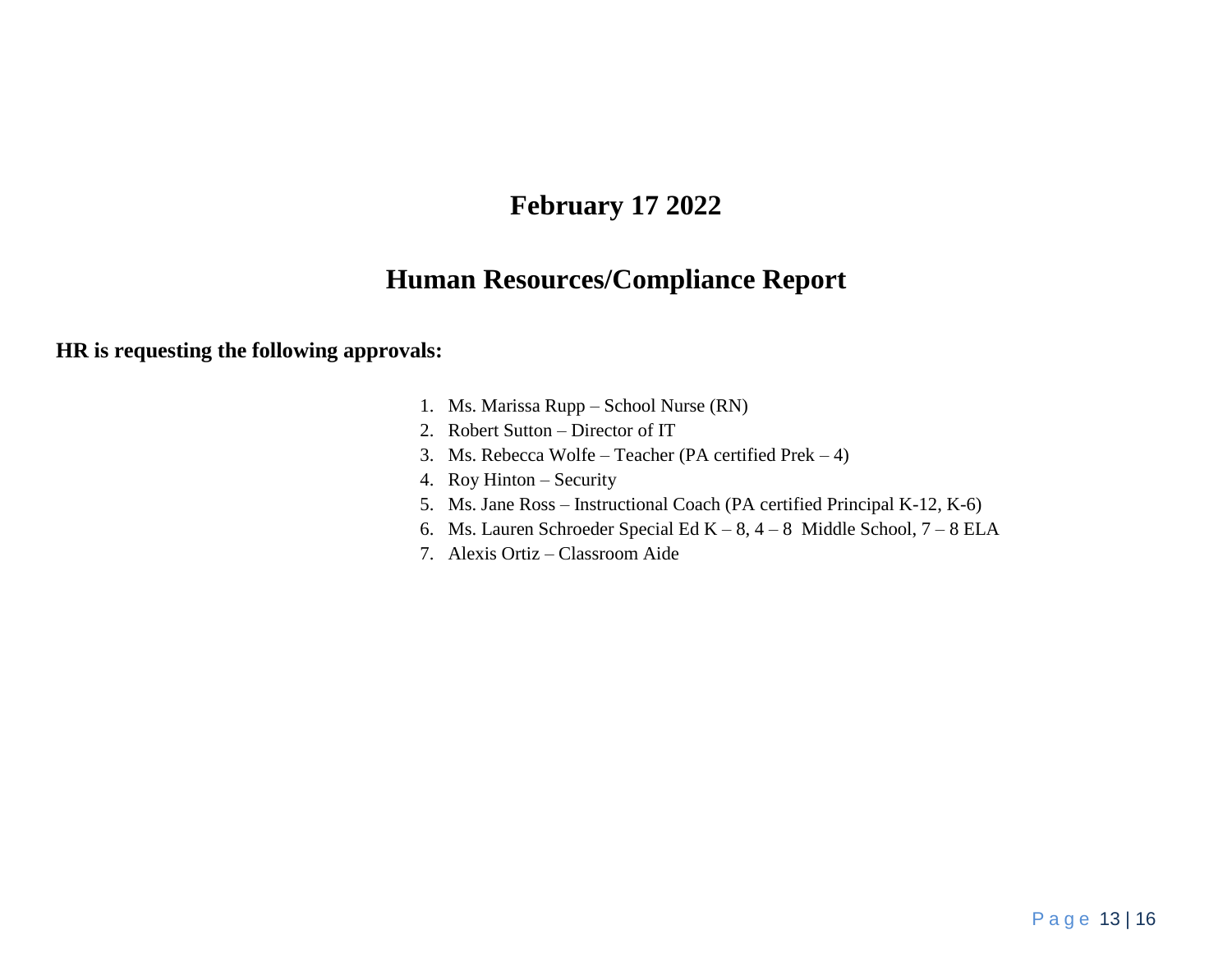### **February 17 2022**

### **Human Resources/Compliance Report**

#### **HR is requesting the following approvals:**

- 1. Ms. Marissa Rupp School Nurse (RN)
- 2. Robert Sutton Director of IT
- 3. Ms. Rebecca Wolfe Teacher (PA certified Prek 4)
- 4. Roy Hinton Security
- 5. Ms. Jane Ross Instructional Coach (PA certified Principal K-12, K-6)
- 6. Ms. Lauren Schroeder Special Ed K 8, 4 8 Middle School, 7 8 ELA
- 7. Alexis Ortiz Classroom Aide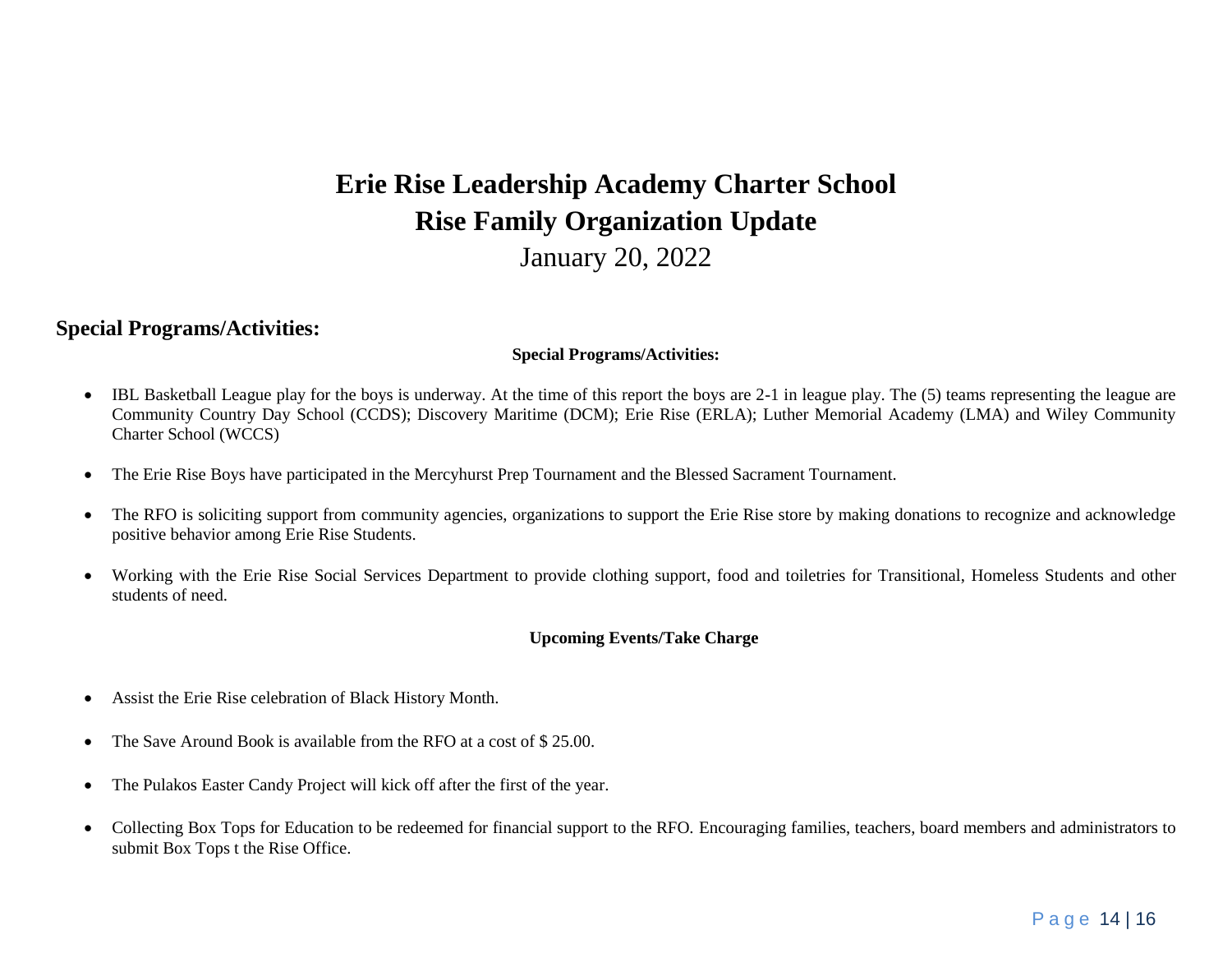# **Erie Rise Leadership Academy Charter School Rise Family Organization Update** January 20, 2022

#### **Special Programs/Activities:**

#### **Special Programs/Activities:**

- IBL Basketball League play for the boys is underway. At the time of this report the boys are 2-1 in league play. The (5) teams representing the league are Community Country Day School (CCDS); Discovery Maritime (DCM); Erie Rise (ERLA); Luther Memorial Academy (LMA) and Wiley Community Charter School (WCCS)
- The Erie Rise Boys have participated in the Mercyhurst Prep Tournament and the Blessed Sacrament Tournament.
- The RFO is soliciting support from community agencies, organizations to support the Erie Rise store by making donations to recognize and acknowledge positive behavior among Erie Rise Students.
- Working with the Erie Rise Social Services Department to provide clothing support, food and toiletries for Transitional, Homeless Students and other students of need.

#### **Upcoming Events/Take Charge**

- Assist the Erie Rise celebration of Black History Month.
- The Save Around Book is available from the RFO at a cost of \$25.00.
- The Pulakos Easter Candy Project will kick off after the first of the year.
- Collecting Box Tops for Education to be redeemed for financial support to the RFO. Encouraging families, teachers, board members and administrators to submit Box Tops t the Rise Office.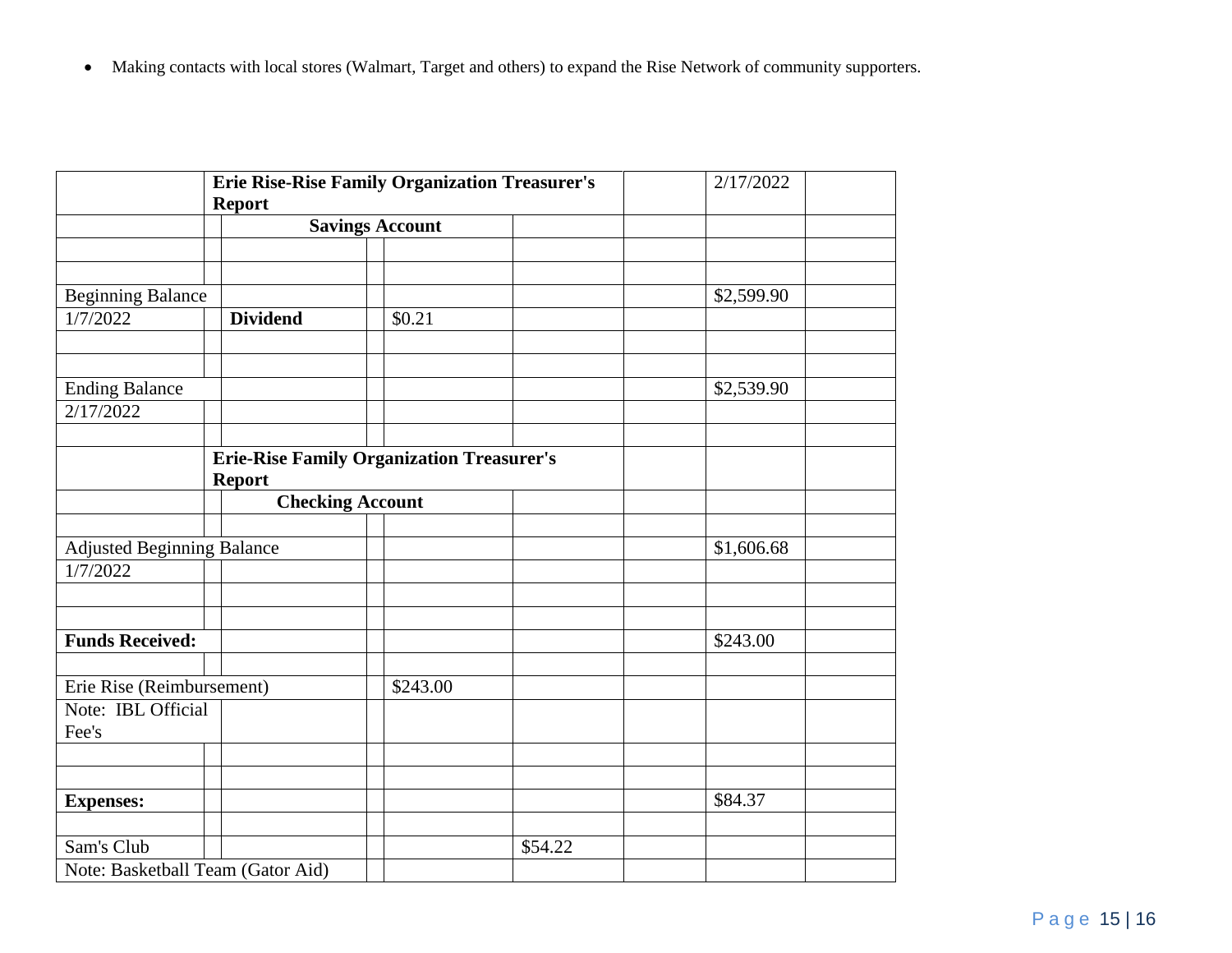Making contacts with local stores (Walmart, Target and others) to expand the Rise Network of community supporters.

|                                   | <b>Erie Rise-Rise Family Organization Treasurer's</b><br><b>Report</b> | 2/17/2022                                        |         |            |
|-----------------------------------|------------------------------------------------------------------------|--------------------------------------------------|---------|------------|
|                                   |                                                                        | <b>Savings Account</b>                           |         |            |
|                                   |                                                                        |                                                  |         |            |
|                                   |                                                                        |                                                  |         |            |
| <b>Beginning Balance</b>          |                                                                        |                                                  |         | \$2,599.90 |
| 1/7/2022                          | <b>Dividend</b>                                                        | \$0.21                                           |         |            |
|                                   |                                                                        |                                                  |         |            |
|                                   |                                                                        |                                                  |         |            |
| <b>Ending Balance</b>             |                                                                        |                                                  |         | \$2,539.90 |
| 2/17/2022                         |                                                                        |                                                  |         |            |
|                                   |                                                                        |                                                  |         |            |
|                                   | <b>Report</b>                                                          | <b>Erie-Rise Family Organization Treasurer's</b> |         |            |
|                                   |                                                                        | <b>Checking Account</b>                          |         |            |
|                                   |                                                                        |                                                  |         |            |
| <b>Adjusted Beginning Balance</b> |                                                                        |                                                  |         | \$1,606.68 |
| 1/7/2022                          |                                                                        |                                                  |         |            |
|                                   |                                                                        |                                                  |         |            |
|                                   |                                                                        |                                                  |         |            |
| <b>Funds Received:</b>            |                                                                        |                                                  |         | \$243.00   |
| Erie Rise (Reimbursement)         |                                                                        | \$243.00                                         |         |            |
| Note: IBL Official                |                                                                        |                                                  |         |            |
| Fee's                             |                                                                        |                                                  |         |            |
|                                   |                                                                        |                                                  |         |            |
|                                   |                                                                        |                                                  |         |            |
| <b>Expenses:</b>                  |                                                                        |                                                  |         | \$84.37    |
|                                   |                                                                        |                                                  |         |            |
| Sam's Club                        |                                                                        |                                                  | \$54.22 |            |
| Note: Basketball Team (Gator Aid) |                                                                        |                                                  |         |            |